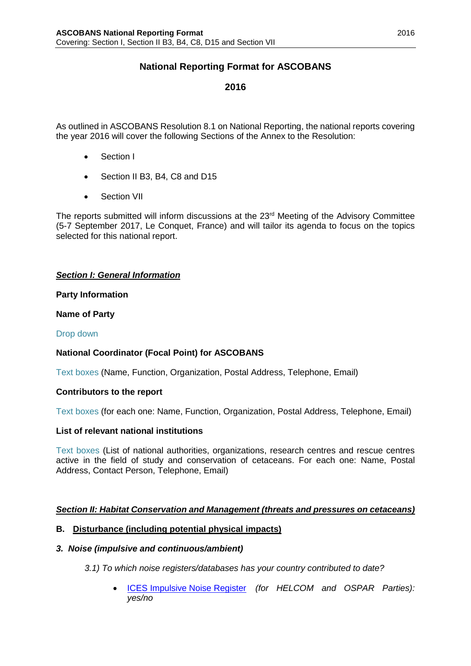## **National Reporting Format for ASCOBANS**

## **2016**

As outlined in ASCOBANS Resolution 8.1 on National Reporting, the national reports covering the year 2016 will cover the following Sections of the Annex to the Resolution:

- Section I
- Section II B3, B4, C8 and D15
- Section VII

The reports submitted will inform discussions at the 23<sup>rd</sup> Meeting of the Advisory Committee (5-7 September 2017, Le Conquet, France) and will tailor its agenda to focus on the topics selected for this national report.

#### *Section I: General Information*

#### **Party Information**

#### **Name of Party**

#### Drop down

#### **National Coordinator (Focal Point) for ASCOBANS**

Text boxes (Name, Function, Organization, Postal Address, Telephone, Email)

#### **Contributors to the report**

Text boxes (for each one: Name, Function, Organization, Postal Address, Telephone, Email)

#### **List of relevant national institutions**

Text boxes (List of national authorities, organizations, research centres and rescue centres active in the field of study and conservation of cetaceans. For each one: Name, Postal Address, Contact Person, Telephone, Email)

#### *Section II: Habitat Conservation and Management (threats and pressures on cetaceans)*

#### **B. Disturbance (including potential physical impacts)**

#### *3. Noise (impulsive and continuous/ambient)*

*3.1) To which noise registers/databases has your country contributed to date?*

• [ICES Impulsive Noise Register](http://www.ices.dk/marine-data/data-portals/Pages/underwater-noise.aspx) *(for HELCOM and OSPAR Parties): yes/no*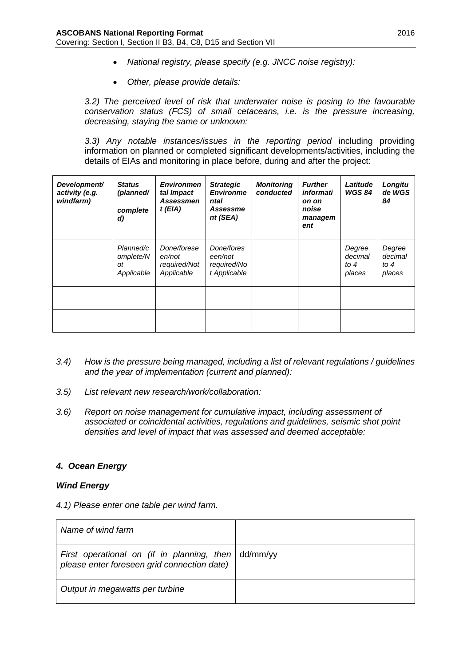- *National registry, please specify (e.g. JNCC noise registry):*
- *Other, please provide details:*

*3.2) The perceived level of risk that underwater noise is posing to the favourable conservation status (FCS) of small cetaceans, i.e. is the pressure increasing, decreasing, staying the same or unknown:*

*3.3) Any notable instances/issues in the reporting period* including providing information on planned or completed significant developments/activities, including the details of EIAs and monitoring in place before, during and after the project:

| Development/<br>activity (e.g.<br>windfarm) | <b>Status</b><br>(planned/<br>complete<br>d) | <b>Environmen</b><br>tal Impact<br><b>Assessmen</b><br>$t$ (EIA) | <b>Strategic</b><br><b>Environme</b><br>ntal<br>Assessme<br>nt (SEA) | <b>Monitoring</b><br>conducted | <b>Further</b><br>informati<br>on on<br>noise<br>managem<br>ent | Latitude<br><b>WGS 84</b>             | Longitu<br>de WGS<br>84               |
|---------------------------------------------|----------------------------------------------|------------------------------------------------------------------|----------------------------------------------------------------------|--------------------------------|-----------------------------------------------------------------|---------------------------------------|---------------------------------------|
|                                             | Planned/c<br>omplete/N<br>оt<br>Applicable   | Done/forese<br>en/not<br>required/Not<br>Applicable              | Done/fores<br>een/not<br>required/No<br>t Applicable                 |                                |                                                                 | Degree<br>decimal<br>to $4$<br>places | Degree<br>decimal<br>to $4$<br>places |
|                                             |                                              |                                                                  |                                                                      |                                |                                                                 |                                       |                                       |
|                                             |                                              |                                                                  |                                                                      |                                |                                                                 |                                       |                                       |

- *3.4) How is the pressure being managed, including a list of relevant regulations / guidelines and the year of implementation (current and planned):*
- *3.5) List relevant new research/work/collaboration:*
- *3.6) Report on noise management for cumulative impact, including assessment of associated or coincidental activities, regulations and guidelines, seismic shot point densities and level of impact that was assessed and deemed acceptable:*

## *4. Ocean Energy*

#### *Wind Energy*

*4.1) Please enter one table per wind farm.* 

| Name of wind farm                                                                                                |  |
|------------------------------------------------------------------------------------------------------------------|--|
| First operational on (if in planning, then $\frac{1}{1}$ dd/mm/yy<br>please enter foreseen grid connection date) |  |
| Output in megawatts per turbine                                                                                  |  |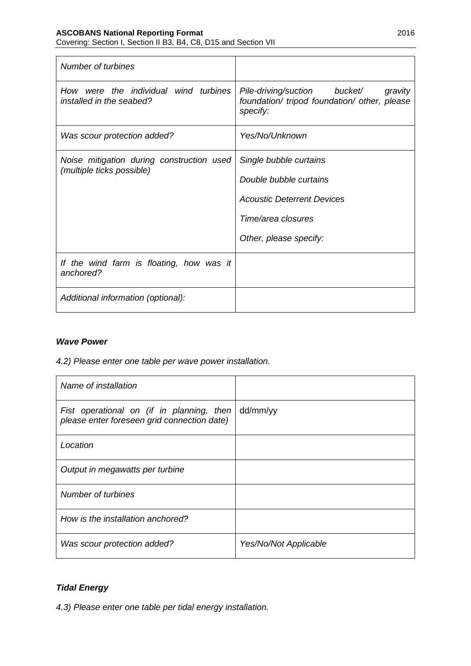# **ASCOBANS National Reporting Format** 2016

Covering: Section I, Section II B3, B4, C8, D15 and Section VII

| Number of turbines                                                            |                                                                                                                                       |  |  |  |  |  |
|-------------------------------------------------------------------------------|---------------------------------------------------------------------------------------------------------------------------------------|--|--|--|--|--|
| How were the individual wind turbines<br>installed in the seabed?             | Pile-driving/suction bucket/<br>gravity<br>foundation/ tripod foundation/ other, please<br>specify:                                   |  |  |  |  |  |
| Was scour protection added?                                                   | Yes/No/Unknown                                                                                                                        |  |  |  |  |  |
| Noise mitigation during construction used<br><i>(multiple ticks possible)</i> | Single bubble curtains<br>Double bubble curtains<br><b>Acoustic Deterrent Devices</b><br>Time/area closures<br>Other, please specify: |  |  |  |  |  |
| If the wind farm is floating, how was it<br>anchored?                         |                                                                                                                                       |  |  |  |  |  |
| Additional information (optional):                                            |                                                                                                                                       |  |  |  |  |  |

## *Wave Power*

*4.2) Please enter one table per wave power installation.*

| Name of installation                                                                     |                       |
|------------------------------------------------------------------------------------------|-----------------------|
| Fist operational on (if in planning, then<br>please enter foreseen grid connection date) | dd/mm/yy              |
| Location                                                                                 |                       |
| Output in megawatts per turbine                                                          |                       |
| Number of turbines                                                                       |                       |
| How is the installation anchored?                                                        |                       |
| Was scour protection added?                                                              | Yes/No/Not Applicable |

## *Tidal Energy*

*4.3) Please enter one table per tidal energy installation.*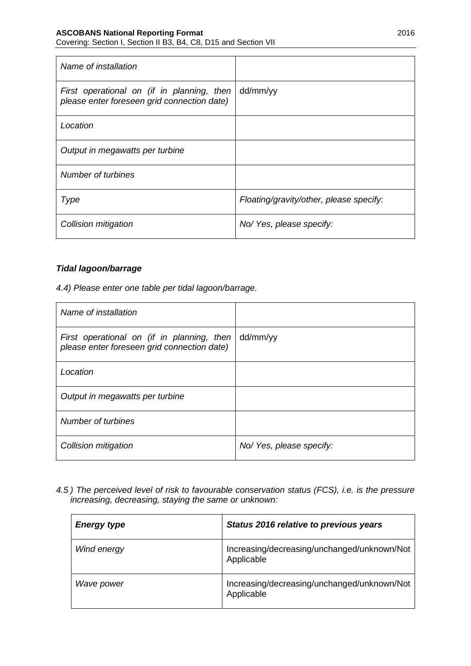Covering: Section I, Section II B3, B4, C8, D15 and Section VII

| Name of installation                                                                      |                                         |
|-------------------------------------------------------------------------------------------|-----------------------------------------|
| First operational on (if in planning, then<br>please enter foreseen grid connection date) | dd/mm/yy                                |
| Location                                                                                  |                                         |
| Output in megawatts per turbine                                                           |                                         |
| Number of turbines                                                                        |                                         |
| Type                                                                                      | Floating/gravity/other, please specify: |
| Collision mitigation                                                                      | No/ Yes, please specify:                |

#### *Tidal lagoon/barrage*

*4.4) Please enter one table per tidal lagoon/barrage.*

| Name of installation                                                                      |                          |
|-------------------------------------------------------------------------------------------|--------------------------|
| First operational on (if in planning, then<br>please enter foreseen grid connection date) | dd/mm/yy                 |
| Location                                                                                  |                          |
| Output in megawatts per turbine                                                           |                          |
| Number of turbines                                                                        |                          |
| Collision mitigation                                                                      | No/ Yes, please specify: |

*4.5 ) The perceived level of risk to favourable conservation status (FCS), i.e. is the pressure increasing, decreasing, staying the same or unknown:*

| <b>Energy type</b> | Status 2016 relative to previous years                    |  |  |  |  |
|--------------------|-----------------------------------------------------------|--|--|--|--|
| Wind energy        | Increasing/decreasing/unchanged/unknown/Not<br>Applicable |  |  |  |  |
| Wave power         | Increasing/decreasing/unchanged/unknown/Not<br>Applicable |  |  |  |  |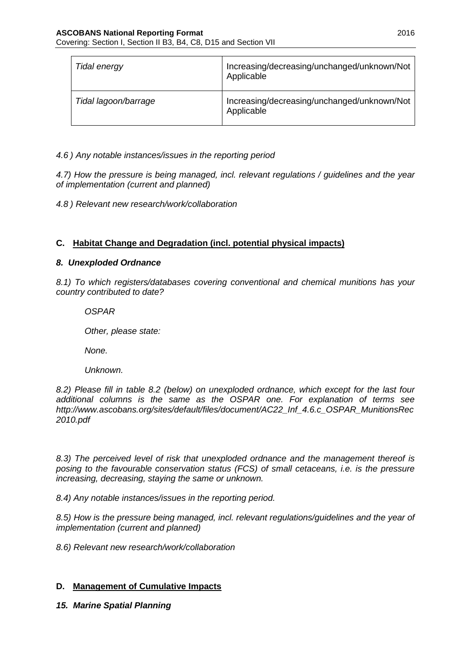| Tidal energy         | Increasing/decreasing/unchanged/unknown/Not<br>Applicable |
|----------------------|-----------------------------------------------------------|
| Tidal lagoon/barrage | Increasing/decreasing/unchanged/unknown/Not<br>Applicable |

*4.6 ) Any notable instances/issues in the reporting period*

*4.7) How the pressure is being managed, incl. relevant regulations / guidelines and the year of implementation (current and planned)*

*4.8 ) Relevant new research/work/collaboration*

## **C. Habitat Change and Degradation (incl. potential physical impacts)**

#### *8. Unexploded Ordnance*

*8.1) To which registers/databases covering conventional and chemical munitions has your country contributed to date?*

*OSPAR*

*Other, please state:*

*None.*

*Unknown.*

*8.2) Please fill in table 8.2 (below) on unexploded ordnance, which except for the last four additional columns is the same as the OSPAR one. For explanation of terms see http://www.ascobans.org/sites/default/files/document/AC22\_Inf\_4.6.c\_OSPAR\_MunitionsRec 2010.pdf*

*8.3) The perceived level of risk that unexploded ordnance and the management thereof is posing to the favourable conservation status (FCS) of small cetaceans, i.e. is the pressure increasing, decreasing, staying the same or unknown.* 

*8.4) Any notable instances/issues in the reporting period.*

*8.5) How is the pressure being managed, incl. relevant regulations/guidelines and the year of implementation (current and planned)*

*8.6) Relevant new research/work/collaboration* 

## **D. Management of Cumulative Impacts**

*15. Marine Spatial Planning*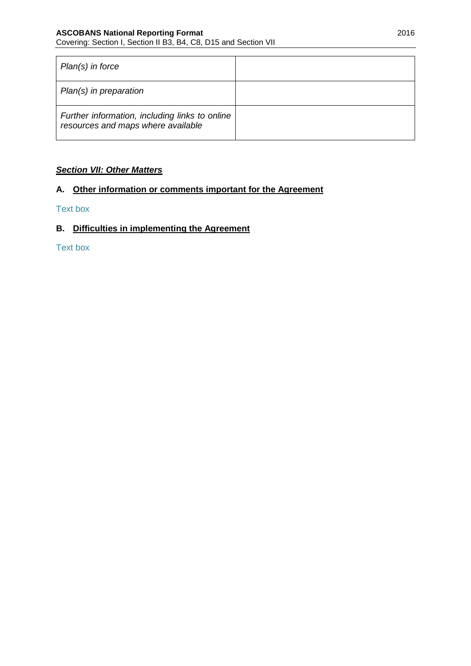| $Plan(s)$ in force                                                                   |  |
|--------------------------------------------------------------------------------------|--|
| Plan(s) in preparation                                                               |  |
| Further information, including links to online<br>resources and maps where available |  |

## *Section VII: Other Matters*

## **A. Other information or comments important for the Agreement**

#### Text box

## **B. Difficulties in implementing the Agreement**

Text box